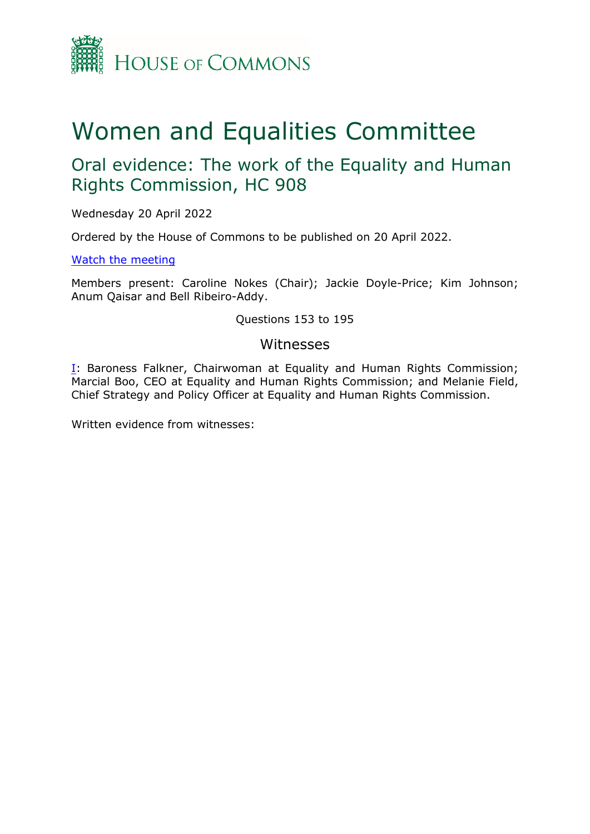

# Women and Equalities Committee

## Oral evidence: The work of the Equality and Human Rights Commission, HC 908

Wednesday 20 April 2022

Ordered by the House of Commons to be published on 20 April 2022.

[Watch](https://parliamentlive.tv/Event/Index/f71c8699-64f0-4d59-ade4-f79572c550b6) [the](https://parliamentlive.tv/Event/Index/f71c8699-64f0-4d59-ade4-f79572c550b6) [meeting](https://parliamentlive.tv/Event/Index/f71c8699-64f0-4d59-ade4-f79572c550b6)

Members present: Caroline Nokes (Chair); Jackie Doyle-Price; Kim Johnson; Anum Qaisar and Bell Ribeiro-Addy.

Questions 153 to 195

## Witnesses

[I:](#page-1-0) Baroness Falkner, Chairwoman at Equality and Human Rights Commission; Marcial Boo, CEO at Equality and Human Rights Commission; and Melanie Field, Chief Strategy and Policy Officer at Equality and Human Rights Commission.

Written evidence from witnesses: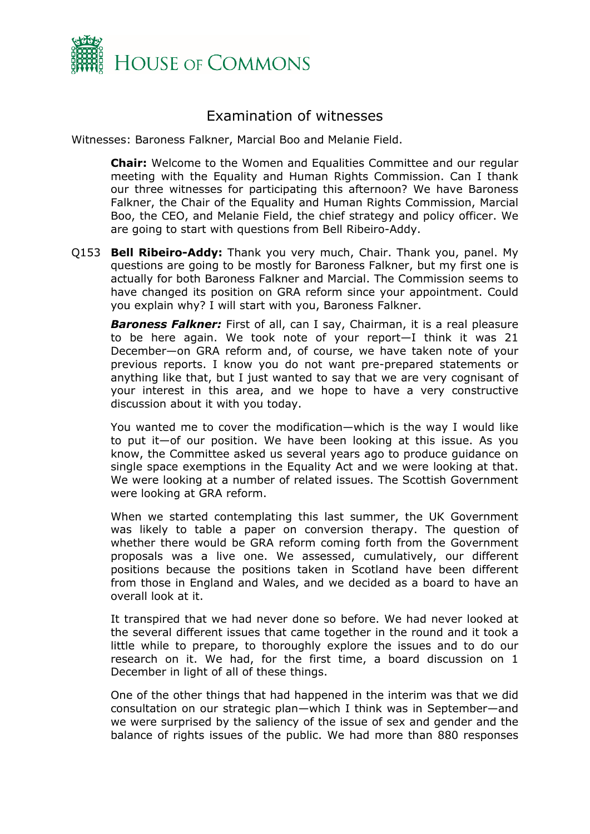

## <span id="page-1-0"></span>Examination of witnesses

Witnesses: Baroness Falkner, Marcial Boo and Melanie Field.

**Chair:** Welcome to the Women and Equalities Committee and our regular meeting with the Equality and Human Rights Commission. Can I thank our three witnesses for participating this afternoon? We have Baroness Falkner, the Chair of the Equality and Human Rights Commission, Marcial Boo, the CEO, and Melanie Field, the chief strategy and policy officer. We are going to start with questions from Bell Ribeiro-Addy.

Q153 **Bell Ribeiro-Addy:** Thank you very much, Chair. Thank you, panel. My questions are going to be mostly for Baroness Falkner, but my first one is actually for both Baroness Falkner and Marcial. The Commission seems to have changed its position on GRA reform since your appointment. Could you explain why? I will start with you, Baroness Falkner.

*Baroness Falkner:* First of all, can I say, Chairman, it is a real pleasure to be here again. We took note of your report—I think it was 21 December—on GRA reform and, of course, we have taken note of your previous reports. I know you do not want pre-prepared statements or anything like that, but I just wanted to say that we are very cognisant of your interest in this area, and we hope to have a very constructive discussion about it with you today.

You wanted me to cover the modification—which is the way I would like to put it—of our position. We have been looking at this issue. As you know, the Committee asked us several years ago to produce guidance on single space exemptions in the Equality Act and we were looking at that. We were looking at a number of related issues. The Scottish Government were looking at GRA reform.

When we started contemplating this last summer, the UK Government was likely to table a paper on conversion therapy. The question of whether there would be GRA reform coming forth from the Government proposals was a live one. We assessed, cumulatively, our different positions because the positions taken in Scotland have been different from those in England and Wales, and we decided as a board to have an overall look at it.

It transpired that we had never done so before. We had never looked at the several different issues that came together in the round and it took a little while to prepare, to thoroughly explore the issues and to do our research on it. We had, for the first time, a board discussion on 1 December in light of all of these things.

One of the other things that had happened in the interim was that we did consultation on our strategic plan—which I think was in September—and we were surprised by the saliency of the issue of sex and gender and the balance of rights issues of the public. We had more than 880 responses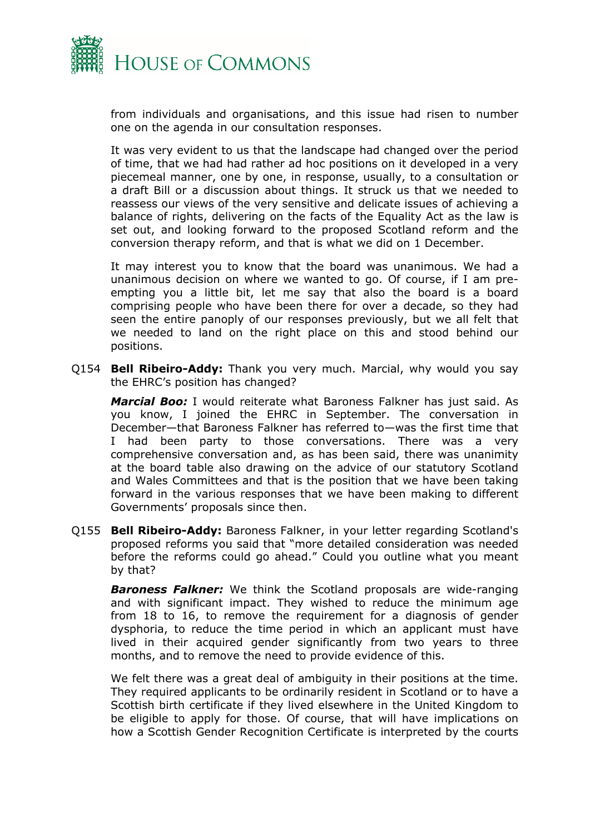

from individuals and organisations, and this issue had risen to number one on the agenda in our consultation responses.

It was very evident to us that the landscape had changed over the period of time, that we had had rather ad hoc positions on it developed in a very piecemeal manner, one by one, in response, usually, to a consultation or a draft Bill or a discussion about things. It struck us that we needed to reassess our views of the very sensitive and delicate issues of achieving a balance of rights, delivering on the facts of the Equality Act as the law is set out, and looking forward to the proposed Scotland reform and the conversion therapy reform, and that is what we did on 1 December.

It may interest you to know that the board was unanimous. We had a unanimous decision on where we wanted to go. Of course, if I am preempting you a little bit, let me say that also the board is a board comprising people who have been there for over a decade, so they had seen the entire panoply of our responses previously, but we all felt that we needed to land on the right place on this and stood behind our positions.

Q154 **Bell Ribeiro-Addy:** Thank you very much. Marcial, why would you say the EHRC's position has changed?

*Marcial Boo:* I would reiterate what Baroness Falkner has just said. As you know, I joined the EHRC in September. The conversation in December—that Baroness Falkner has referred to—was the first time that I had been party to those conversations. There was a very comprehensive conversation and, as has been said, there was unanimity at the board table also drawing on the advice of our statutory Scotland and Wales Committees and that is the position that we have been taking forward in the various responses that we have been making to different Governments' proposals since then.

Q155 **Bell Ribeiro-Addy:** Baroness Falkner, in your letter regarding Scotland's proposed reforms you said that "more detailed consideration was needed before the reforms could go ahead." Could you outline what you meant by that?

*Baroness Falkner:* We think the Scotland proposals are wide-ranging and with significant impact. They wished to reduce the minimum age from 18 to 16, to remove the requirement for a diagnosis of gender dysphoria, to reduce the time period in which an applicant must have lived in their acquired gender significantly from two years to three months, and to remove the need to provide evidence of this.

We felt there was a great deal of ambiguity in their positions at the time. They required applicants to be ordinarily resident in Scotland or to have a Scottish birth certificate if they lived elsewhere in the United Kingdom to be eligible to apply for those. Of course, that will have implications on how a Scottish Gender Recognition Certificate is interpreted by the courts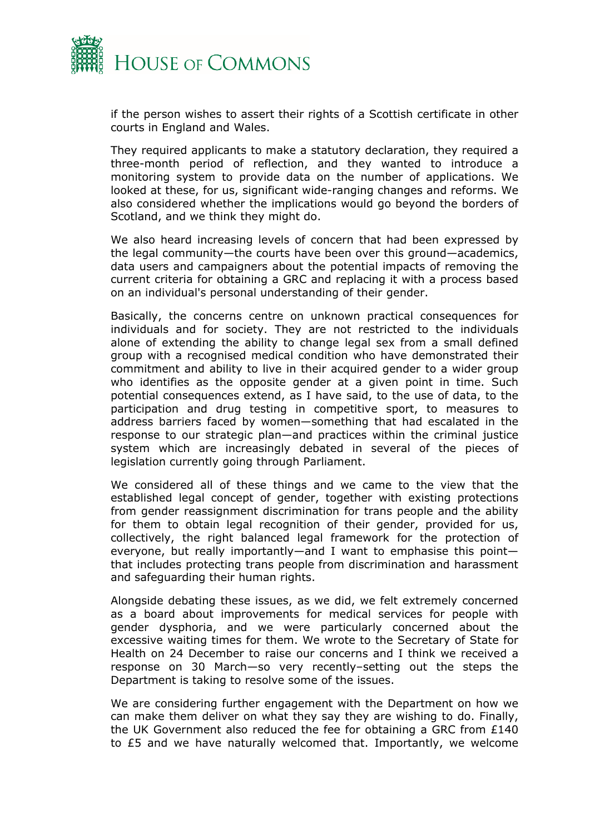

if the person wishes to assert their rights of a Scottish certificate in other courts in England and Wales.

They required applicants to make a statutory declaration, they required a three-month period of reflection, and they wanted to introduce a monitoring system to provide data on the number of applications. We looked at these, for us, significant wide-ranging changes and reforms. We also considered whether the implications would go beyond the borders of Scotland, and we think they might do.

We also heard increasing levels of concern that had been expressed by the legal community—the courts have been over this ground—academics, data users and campaigners about the potential impacts of removing the current criteria for obtaining a GRC and replacing it with a process based on an individual's personal understanding of their gender.

Basically, the concerns centre on unknown practical consequences for individuals and for society. They are not restricted to the individuals alone of extending the ability to change legal sex from a small defined group with a recognised medical condition who have demonstrated their commitment and ability to live in their acquired gender to a wider group who identifies as the opposite gender at a given point in time. Such potential consequences extend, as I have said, to the use of data, to the participation and drug testing in competitive sport, to measures to address barriers faced by women—something that had escalated in the response to our strategic plan—and practices within the criminal justice system which are increasingly debated in several of the pieces of legislation currently going through Parliament.

We considered all of these things and we came to the view that the established legal concept of gender, together with existing protections from gender reassignment discrimination for trans people and the ability for them to obtain legal recognition of their gender, provided for us, collectively, the right balanced legal framework for the protection of everyone, but really importantly—and I want to emphasise this point that includes protecting trans people from discrimination and harassment and safeguarding their human rights.

Alongside debating these issues, as we did, we felt extremely concerned as a board about improvements for medical services for people with gender dysphoria, and we were particularly concerned about the excessive waiting times for them. We wrote to the Secretary of State for Health on 24 December to raise our concerns and I think we received a response on 30 March—so very recently–setting out the steps the Department is taking to resolve some of the issues.

We are considering further engagement with the Department on how we can make them deliver on what they say they are wishing to do. Finally, the UK Government also reduced the fee for obtaining a GRC from £140 to £5 and we have naturally welcomed that. Importantly, we welcome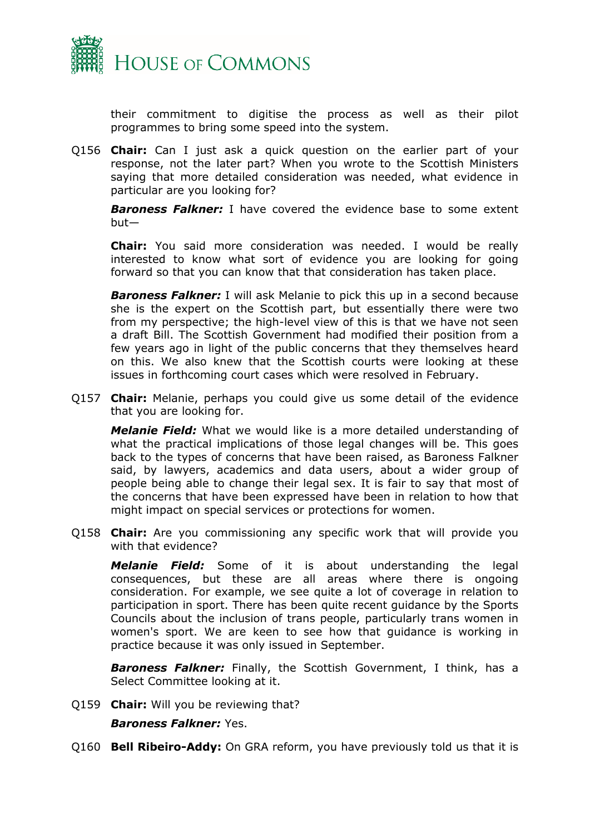

their commitment to digitise the process as well as their pilot programmes to bring some speed into the system.

Q156 **Chair:** Can I just ask a quick question on the earlier part of your response, not the later part? When you wrote to the Scottish Ministers saying that more detailed consideration was needed, what evidence in particular are you looking for?

*Baroness Falkner:* I have covered the evidence base to some extent but—

**Chair:** You said more consideration was needed. I would be really interested to know what sort of evidence you are looking for going forward so that you can know that that consideration has taken place.

*Baroness Falkner:* I will ask Melanie to pick this up in a second because she is the expert on the Scottish part, but essentially there were two from my perspective; the high-level view of this is that we have not seen a draft Bill. The Scottish Government had modified their position from a few years ago in light of the public concerns that they themselves heard on this. We also knew that the Scottish courts were looking at these issues in forthcoming court cases which were resolved in February.

Q157 **Chair:** Melanie, perhaps you could give us some detail of the evidence that you are looking for.

*Melanie Field:* What we would like is a more detailed understanding of what the practical implications of those legal changes will be. This goes back to the types of concerns that have been raised, as Baroness Falkner said, by lawyers, academics and data users, about a wider group of people being able to change their legal sex. It is fair to say that most of the concerns that have been expressed have been in relation to how that might impact on special services or protections for women.

Q158 **Chair:** Are you commissioning any specific work that will provide you with that evidence?

*Melanie Field:* Some of it is about understanding the legal consequences, but these are all areas where there is ongoing consideration. For example, we see quite a lot of coverage in relation to participation in sport. There has been quite recent guidance by the Sports Councils about the inclusion of trans people, particularly trans women in women's sport. We are keen to see how that guidance is working in practice because it was only issued in September.

*Baroness Falkner:* Finally, the Scottish Government, I think, has a Select Committee looking at it.

Q159 **Chair:** Will you be reviewing that?

## *Baroness Falkner:* Yes.

Q160 **Bell Ribeiro-Addy:** On GRA reform, you have previously told us that it is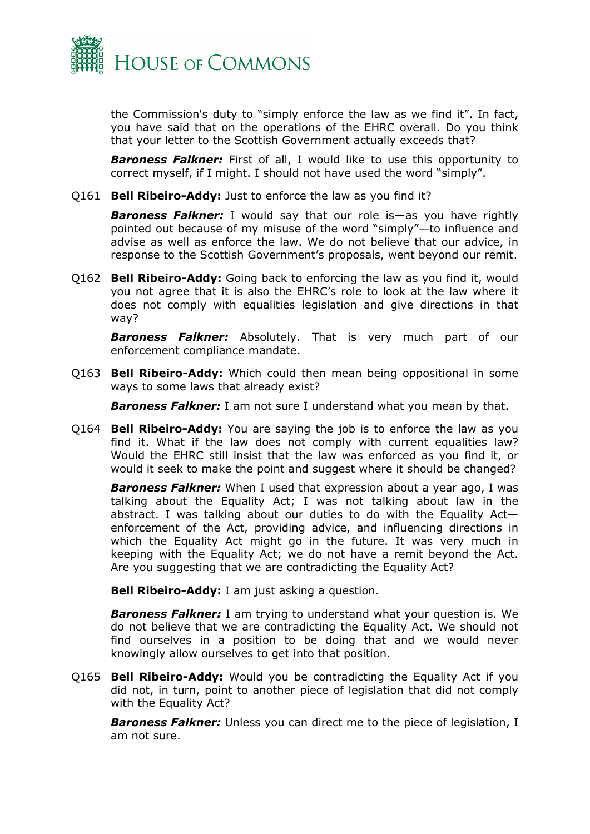

the Commission's duty to "simply enforce the law as we find it". In fact, you have said that on the operations of the EHRC overall. Do you think that your letter to the Scottish Government actually exceeds that?

**Baroness Falkner:** First of all, I would like to use this opportunity to correct myself, if I might. I should not have used the word "simply".

Q161 **Bell Ribeiro-Addy:** Just to enforce the law as you find it?

*Baroness Falkner:* I would say that our role is—as you have rightly pointed out because of my misuse of the word "simply"—to influence and advise as well as enforce the law. We do not believe that our advice, in response to the Scottish Government's proposals, went beyond our remit.

Q162 **Bell Ribeiro-Addy:** Going back to enforcing the law as you find it, would you not agree that it is also the EHRC's role to look at the law where it does not comply with equalities legislation and give directions in that way?

*Baroness Falkner:* Absolutely. That is very much part of our enforcement compliance mandate.

Q163 **Bell Ribeiro-Addy:** Which could then mean being oppositional in some ways to some laws that already exist?

**Baroness Falkner:** I am not sure I understand what you mean by that.

Q164 **Bell Ribeiro-Addy:** You are saying the job is to enforce the law as you find it. What if the law does not comply with current equalities law? Would the EHRC still insist that the law was enforced as you find it, or would it seek to make the point and suggest where it should be changed?

*Baroness Falkner:* When I used that expression about a year ago, I was talking about the Equality Act; I was not talking about law in the abstract. I was talking about our duties to do with the Equality Act enforcement of the Act, providing advice, and influencing directions in which the Equality Act might go in the future. It was very much in keeping with the Equality Act; we do not have a remit beyond the Act. Are you suggesting that we are contradicting the Equality Act?

**Bell Ribeiro-Addy:** I am just asking a question.

*Baroness Falkner:* I am trying to understand what your question is. We do not believe that we are contradicting the Equality Act. We should not find ourselves in a position to be doing that and we would never knowingly allow ourselves to get into that position.

Q165 **Bell Ribeiro-Addy:** Would you be contradicting the Equality Act if you did not, in turn, point to another piece of legislation that did not comply with the Equality Act?

*Baroness Falkner:* Unless you can direct me to the piece of legislation, I am not sure.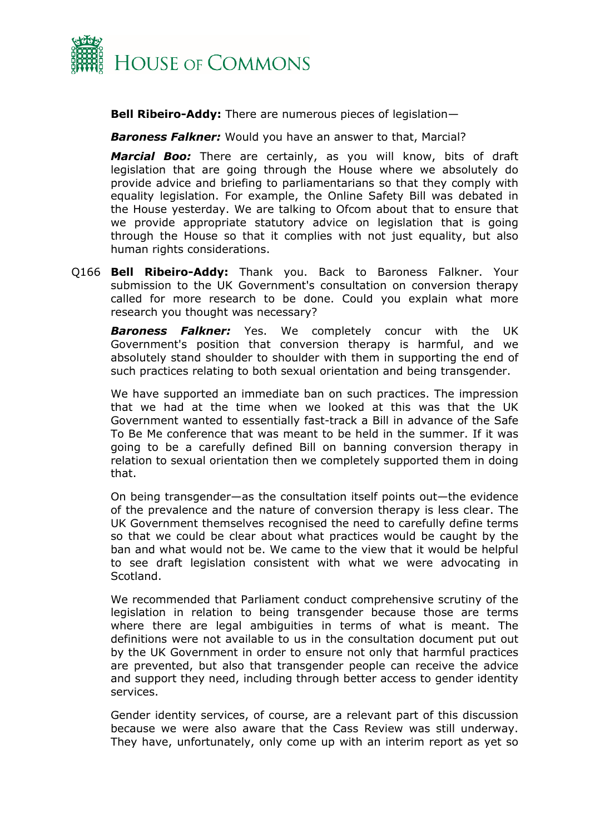

**Bell Ribeiro-Addy:** There are numerous pieces of legislation—

*Baroness Falkner:* Would you have an answer to that, Marcial?

*Marcial Boo:* There are certainly, as you will know, bits of draft legislation that are going through the House where we absolutely do provide advice and briefing to parliamentarians so that they comply with equality legislation. For example, the Online Safety Bill was debated in the House yesterday. We are talking to Ofcom about that to ensure that we provide appropriate statutory advice on legislation that is going through the House so that it complies with not just equality, but also human rights considerations.

Q166 **Bell Ribeiro-Addy:** Thank you. Back to Baroness Falkner. Your submission to the UK Government's consultation on conversion therapy called for more research to be done. Could you explain what more research you thought was necessary?

*Baroness Falkner:* Yes. We completely concur with the UK Government's position that conversion therapy is harmful, and we absolutely stand shoulder to shoulder with them in supporting the end of such practices relating to both sexual orientation and being transgender.

We have supported an immediate ban on such practices. The impression that we had at the time when we looked at this was that the UK Government wanted to essentially fast-track a Bill in advance of the Safe To Be Me conference that was meant to be held in the summer. If it was going to be a carefully defined Bill on banning conversion therapy in relation to sexual orientation then we completely supported them in doing that.

On being transgender—as the consultation itself points out—the evidence of the prevalence and the nature of conversion therapy is less clear. The UK Government themselves recognised the need to carefully define terms so that we could be clear about what practices would be caught by the ban and what would not be. We came to the view that it would be helpful to see draft legislation consistent with what we were advocating in Scotland.

We recommended that Parliament conduct comprehensive scrutiny of the legislation in relation to being transgender because those are terms where there are legal ambiguities in terms of what is meant. The definitions were not available to us in the consultation document put out by the UK Government in order to ensure not only that harmful practices are prevented, but also that transgender people can receive the advice and support they need, including through better access to gender identity services.

Gender identity services, of course, are a relevant part of this discussion because we were also aware that the Cass Review was still underway. They have, unfortunately, only come up with an interim report as yet so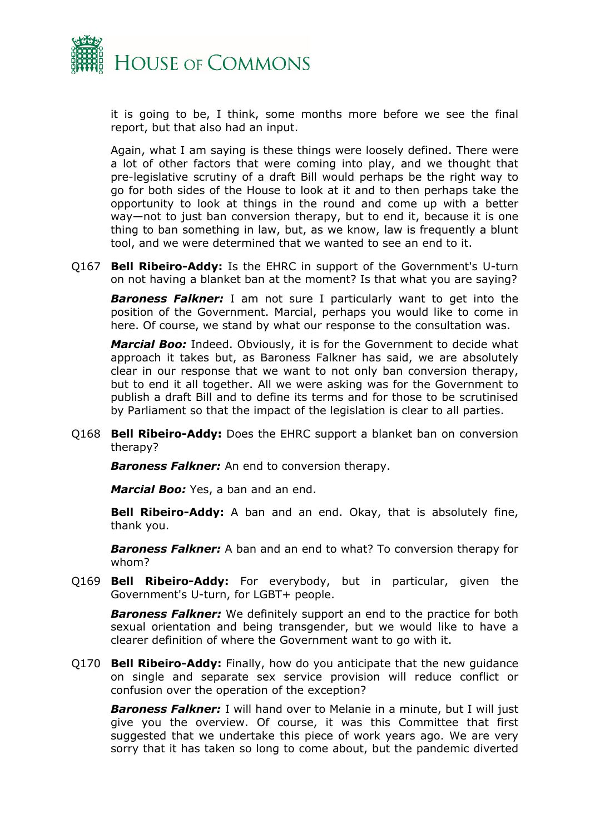

it is going to be, I think, some months more before we see the final report, but that also had an input.

Again, what I am saying is these things were loosely defined. There were a lot of other factors that were coming into play, and we thought that pre-legislative scrutiny of a draft Bill would perhaps be the right way to go for both sides of the House to look at it and to then perhaps take the opportunity to look at things in the round and come up with a better way—not to just ban conversion therapy, but to end it, because it is one thing to ban something in law, but, as we know, law is frequently a blunt tool, and we were determined that we wanted to see an end to it.

Q167 **Bell Ribeiro-Addy:** Is the EHRC in support of the Government's U-turn on not having a blanket ban at the moment? Is that what you are saying?

*Baroness Falkner:* I am not sure I particularly want to get into the position of the Government. Marcial, perhaps you would like to come in here. Of course, we stand by what our response to the consultation was.

*Marcial Boo:* Indeed. Obviously, it is for the Government to decide what approach it takes but, as Baroness Falkner has said, we are absolutely clear in our response that we want to not only ban conversion therapy, but to end it all together. All we were asking was for the Government to publish a draft Bill and to define its terms and for those to be scrutinised by Parliament so that the impact of the legislation is clear to all parties.

Q168 **Bell Ribeiro-Addy:** Does the EHRC support a blanket ban on conversion therapy?

*Baroness Falkner:* An end to conversion therapy.

*Marcial Boo:* Yes, a ban and an end.

**Bell Ribeiro-Addy:** A ban and an end. Okay, that is absolutely fine, thank you.

*Baroness Falkner:* A ban and an end to what? To conversion therapy for whom?

Q169 **Bell Ribeiro-Addy:** For everybody, but in particular, given the Government's U-turn, for LGBT+ people.

*Baroness Falkner:* We definitely support an end to the practice for both sexual orientation and being transgender, but we would like to have a clearer definition of where the Government want to go with it.

Q170 **Bell Ribeiro-Addy:** Finally, how do you anticipate that the new guidance on single and separate sex service provision will reduce conflict or confusion over the operation of the exception?

*Baroness Falkner:* I will hand over to Melanie in a minute, but I will just give you the overview. Of course, it was this Committee that first suggested that we undertake this piece of work years ago. We are very sorry that it has taken so long to come about, but the pandemic diverted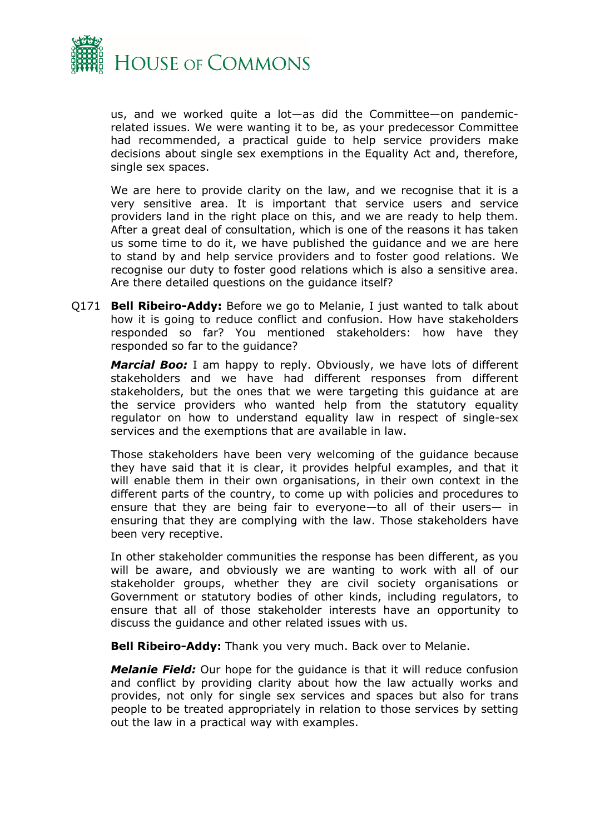

us, and we worked quite a lot—as did the Committee—on pandemicrelated issues. We were wanting it to be, as your predecessor Committee had recommended, a practical guide to help service providers make decisions about single sex exemptions in the Equality Act and, therefore, single sex spaces.

We are here to provide clarity on the law, and we recognise that it is a very sensitive area. It is important that service users and service providers land in the right place on this, and we are ready to help them. After a great deal of consultation, which is one of the reasons it has taken us some time to do it, we have published the guidance and we are here to stand by and help service providers and to foster good relations. We recognise our duty to foster good relations which is also a sensitive area. Are there detailed questions on the guidance itself?

Q171 **Bell Ribeiro-Addy:** Before we go to Melanie, I just wanted to talk about how it is going to reduce conflict and confusion. How have stakeholders responded so far? You mentioned stakeholders: how have they responded so far to the guidance?

*Marcial Boo:* I am happy to reply. Obviously, we have lots of different stakeholders and we have had different responses from different stakeholders, but the ones that we were targeting this guidance at are the service providers who wanted help from the statutory equality regulator on how to understand equality law in respect of single-sex services and the exemptions that are available in law.

Those stakeholders have been very welcoming of the guidance because they have said that it is clear, it provides helpful examples, and that it will enable them in their own organisations, in their own context in the different parts of the country, to come up with policies and procedures to ensure that they are being fair to everyone—to all of their users— in ensuring that they are complying with the law. Those stakeholders have been very receptive.

In other stakeholder communities the response has been different, as you will be aware, and obviously we are wanting to work with all of our stakeholder groups, whether they are civil society organisations or Government or statutory bodies of other kinds, including regulators, to ensure that all of those stakeholder interests have an opportunity to discuss the guidance and other related issues with us.

**Bell Ribeiro-Addy:** Thank you very much. Back over to Melanie.

*Melanie Field:* Our hope for the guidance is that it will reduce confusion and conflict by providing clarity about how the law actually works and provides, not only for single sex services and spaces but also for trans people to be treated appropriately in relation to those services by setting out the law in a practical way with examples.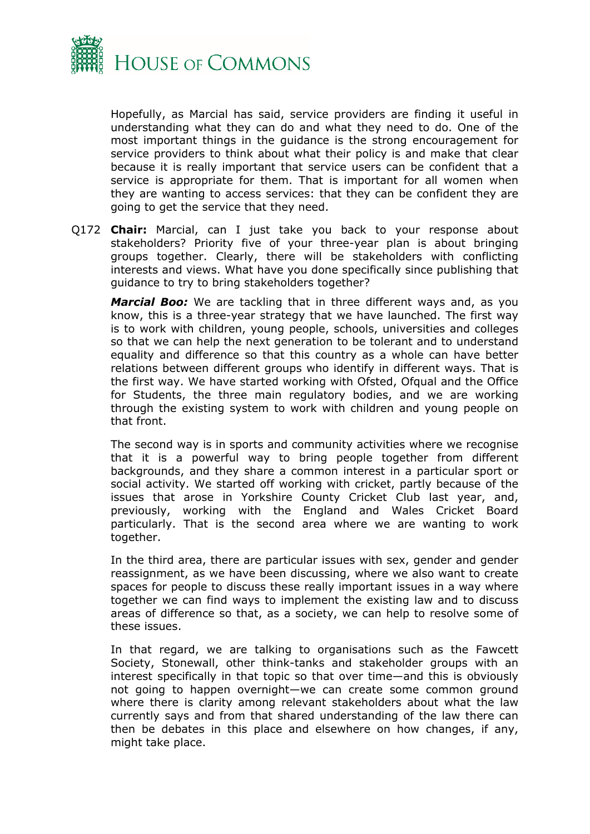

Hopefully, as Marcial has said, service providers are finding it useful in understanding what they can do and what they need to do. One of the most important things in the guidance is the strong encouragement for service providers to think about what their policy is and make that clear because it is really important that service users can be confident that a service is appropriate for them. That is important for all women when they are wanting to access services: that they can be confident they are going to get the service that they need.

Q172 **Chair:** Marcial, can I just take you back to your response about stakeholders? Priority five of your three-year plan is about bringing groups together. Clearly, there will be stakeholders with conflicting interests and views. What have you done specifically since publishing that guidance to try to bring stakeholders together?

*Marcial Boo:* We are tackling that in three different ways and, as you know, this is a three-year strategy that we have launched. The first way is to work with children, young people, schools, universities and colleges so that we can help the next generation to be tolerant and to understand equality and difference so that this country as a whole can have better relations between different groups who identify in different ways. That is the first way. We have started working with Ofsted, Ofqual and the Office for Students, the three main regulatory bodies, and we are working through the existing system to work with children and young people on that front.

The second way is in sports and community activities where we recognise that it is a powerful way to bring people together from different backgrounds, and they share a common interest in a particular sport or social activity. We started off working with cricket, partly because of the issues that arose in Yorkshire County Cricket Club last year, and, previously, working with the England and Wales Cricket Board particularly. That is the second area where we are wanting to work together.

In the third area, there are particular issues with sex, gender and gender reassignment, as we have been discussing, where we also want to create spaces for people to discuss these really important issues in a way where together we can find ways to implement the existing law and to discuss areas of difference so that, as a society, we can help to resolve some of these issues.

In that regard, we are talking to organisations such as the Fawcett Society, Stonewall, other think-tanks and stakeholder groups with an interest specifically in that topic so that over time—and this is obviously not going to happen overnight—we can create some common ground where there is clarity among relevant stakeholders about what the law currently says and from that shared understanding of the law there can then be debates in this place and elsewhere on how changes, if any, might take place.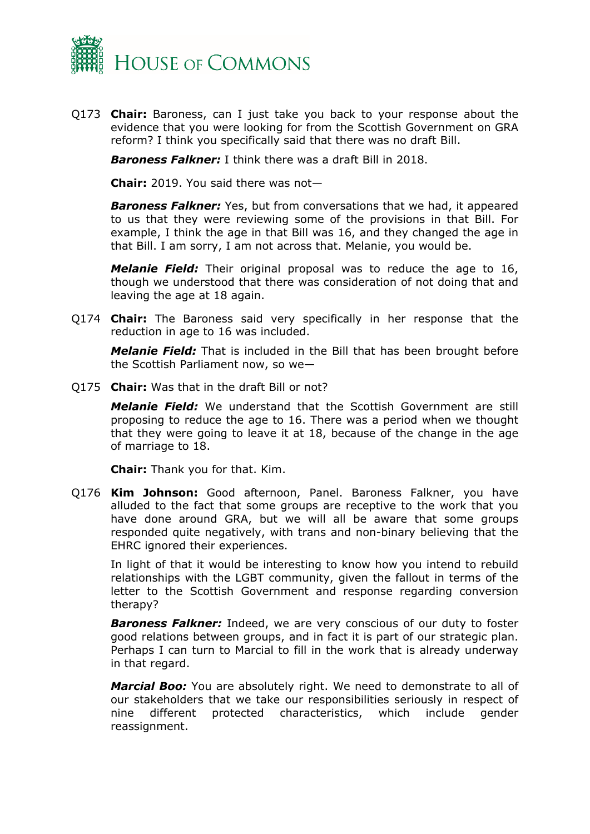

Q173 **Chair:** Baroness, can I just take you back to your response about the evidence that you were looking for from the Scottish Government on GRA reform? I think you specifically said that there was no draft Bill.

*Baroness Falkner:* I think there was a draft Bill in 2018.

**Chair:** 2019. You said there was not—

*Baroness Falkner:* Yes, but from conversations that we had, it appeared to us that they were reviewing some of the provisions in that Bill. For example, I think the age in that Bill was 16, and they changed the age in that Bill. I am sorry, I am not across that. Melanie, you would be.

*Melanie Field:* Their original proposal was to reduce the age to 16, though we understood that there was consideration of not doing that and leaving the age at 18 again.

Q174 **Chair:** The Baroness said very specifically in her response that the reduction in age to 16 was included.

*Melanie Field:* That is included in the Bill that has been brought before the Scottish Parliament now, so we—

Q175 **Chair:** Was that in the draft Bill or not?

*Melanie Field:* We understand that the Scottish Government are still proposing to reduce the age to 16. There was a period when we thought that they were going to leave it at 18, because of the change in the age of marriage to 18.

**Chair:** Thank you for that. Kim.

Q176 **Kim Johnson:** Good afternoon, Panel. Baroness Falkner, you have alluded to the fact that some groups are receptive to the work that you have done around GRA, but we will all be aware that some groups responded quite negatively, with trans and non-binary believing that the EHRC ignored their experiences.

In light of that it would be interesting to know how you intend to rebuild relationships with the LGBT community, given the fallout in terms of the letter to the Scottish Government and response regarding conversion therapy?

*Baroness Falkner:* Indeed, we are very conscious of our duty to foster good relations between groups, and in fact it is part of our strategic plan. Perhaps I can turn to Marcial to fill in the work that is already underway in that regard.

*Marcial Boo:* You are absolutely right. We need to demonstrate to all of our stakeholders that we take our responsibilities seriously in respect of nine different protected characteristics, which include gender reassignment.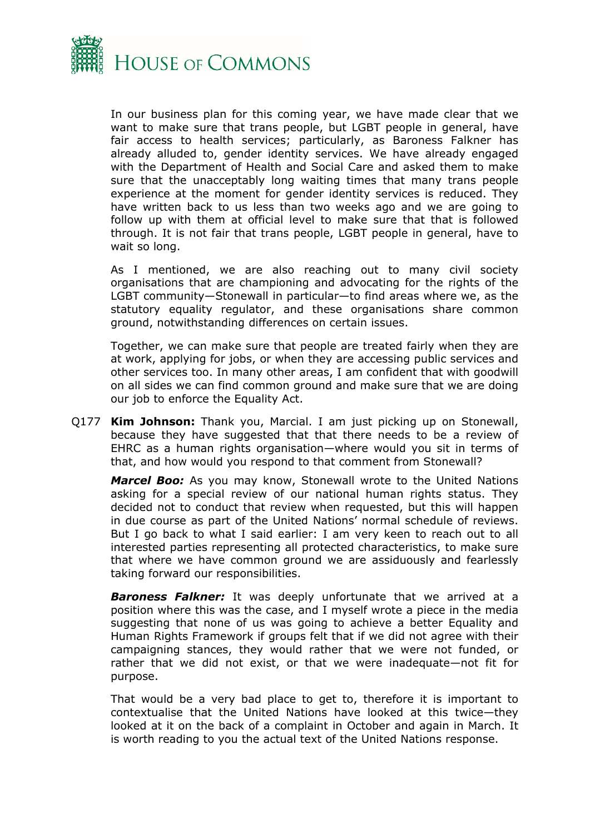

In our business plan for this coming year, we have made clear that we want to make sure that trans people, but LGBT people in general, have fair access to health services; particularly, as Baroness Falkner has already alluded to, gender identity services. We have already engaged with the Department of Health and Social Care and asked them to make sure that the unacceptably long waiting times that many trans people experience at the moment for gender identity services is reduced. They have written back to us less than two weeks ago and we are going to follow up with them at official level to make sure that that is followed through. It is not fair that trans people, LGBT people in general, have to wait so long.

As I mentioned, we are also reaching out to many civil society organisations that are championing and advocating for the rights of the LGBT community—Stonewall in particular—to find areas where we, as the statutory equality regulator, and these organisations share common ground, notwithstanding differences on certain issues.

Together, we can make sure that people are treated fairly when they are at work, applying for jobs, or when they are accessing public services and other services too. In many other areas, I am confident that with goodwill on all sides we can find common ground and make sure that we are doing our job to enforce the Equality Act.

Q177 **Kim Johnson:** Thank you, Marcial. I am just picking up on Stonewall, because they have suggested that that there needs to be a review of EHRC as a human rights organisation—where would you sit in terms of that, and how would you respond to that comment from Stonewall?

*Marcel Boo:* As you may know, Stonewall wrote to the United Nations asking for a special review of our national human rights status. They decided not to conduct that review when requested, but this will happen in due course as part of the United Nations' normal schedule of reviews. But I go back to what I said earlier: I am very keen to reach out to all interested parties representing all protected characteristics, to make sure that where we have common ground we are assiduously and fearlessly taking forward our responsibilities.

*Baroness Falkner:* It was deeply unfortunate that we arrived at a position where this was the case, and I myself wrote a piece in the media suggesting that none of us was going to achieve a better Equality and Human Rights Framework if groups felt that if we did not agree with their campaigning stances, they would rather that we were not funded, or rather that we did not exist, or that we were inadequate—not fit for purpose.

That would be a very bad place to get to, therefore it is important to contextualise that the United Nations have looked at this twice—they looked at it on the back of a complaint in October and again in March. It is worth reading to you the actual text of the United Nations response.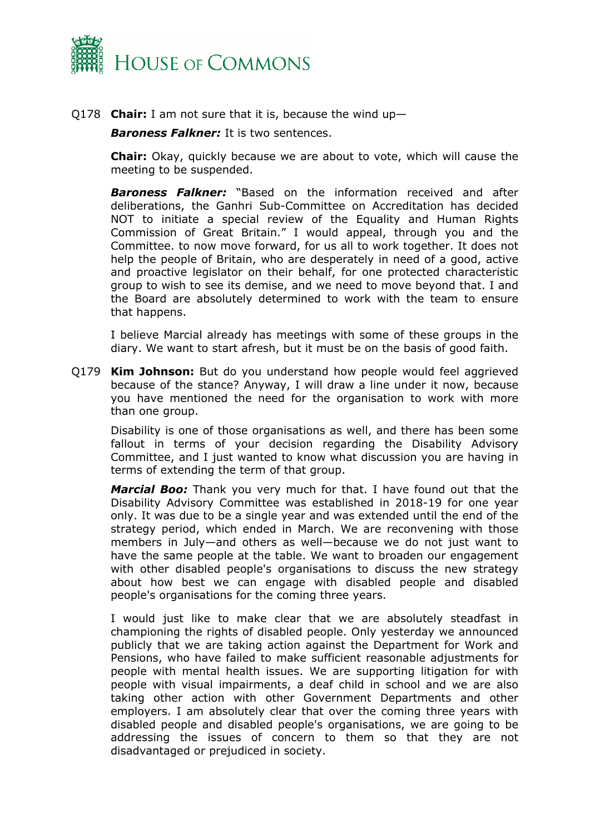

Q178 **Chair:** I am not sure that it is, because the wind up—

*Baroness Falkner:* It is two sentences.

**Chair:** Okay, quickly because we are about to vote, which will cause the meeting to be suspended.

*Baroness Falkner:* "Based on the information received and after deliberations, the Ganhri Sub-Committee on Accreditation has decided NOT to initiate a special review of the Equality and Human Rights Commission of Great Britain." I would appeal, through you and the Committee. to now move forward, for us all to work together. It does not help the people of Britain, who are desperately in need of a good, active and proactive legislator on their behalf, for one protected characteristic group to wish to see its demise, and we need to move beyond that. I and the Board are absolutely determined to work with the team to ensure that happens.

I believe Marcial already has meetings with some of these groups in the diary. We want to start afresh, but it must be on the basis of good faith.

Q179 **Kim Johnson:** But do you understand how people would feel aggrieved because of the stance? Anyway, I will draw a line under it now, because you have mentioned the need for the organisation to work with more than one group.

Disability is one of those organisations as well, and there has been some fallout in terms of your decision regarding the Disability Advisory Committee, and I just wanted to know what discussion you are having in terms of extending the term of that group.

*Marcial Boo:* Thank you very much for that. I have found out that the Disability Advisory Committee was established in 2018-19 for one year only. It was due to be a single year and was extended until the end of the strategy period, which ended in March. We are reconvening with those members in July—and others as well—because we do not just want to have the same people at the table. We want to broaden our engagement with other disabled people's organisations to discuss the new strategy about how best we can engage with disabled people and disabled people's organisations for the coming three years.

I would just like to make clear that we are absolutely steadfast in championing the rights of disabled people. Only yesterday we announced publicly that we are taking action against the Department for Work and Pensions, who have failed to make sufficient reasonable adjustments for people with mental health issues. We are supporting litigation for with people with visual impairments, a deaf child in school and we are also taking other action with other Government Departments and other employers. I am absolutely clear that over the coming three years with disabled people and disabled people's organisations, we are going to be addressing the issues of concern to them so that they are not disadvantaged or prejudiced in society.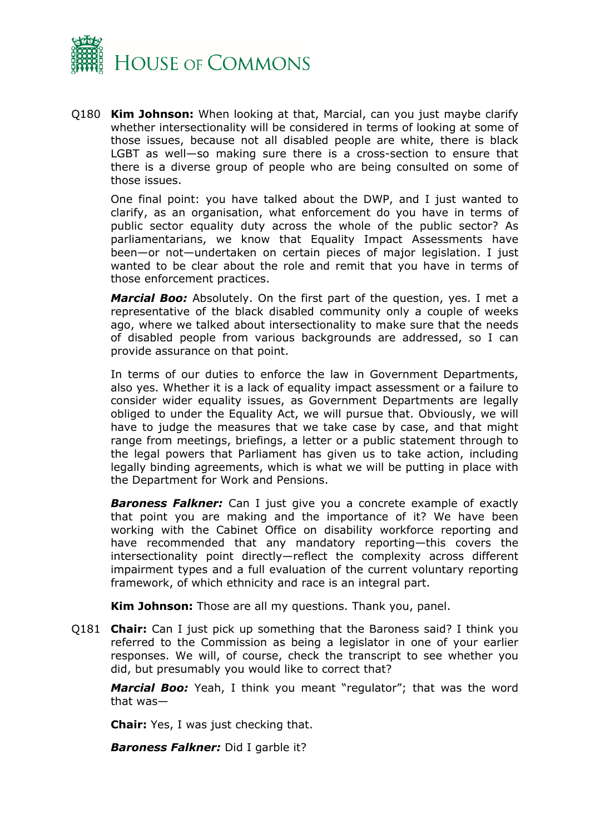

Q180 **Kim Johnson:** When looking at that, Marcial, can you just maybe clarify whether intersectionality will be considered in terms of looking at some of those issues, because not all disabled people are white, there is black LGBT as well—so making sure there is a cross-section to ensure that there is a diverse group of people who are being consulted on some of those issues.

One final point: you have talked about the DWP, and I just wanted to clarify, as an organisation, what enforcement do you have in terms of public sector equality duty across the whole of the public sector? As parliamentarians, we know that Equality Impact Assessments have been—or not—undertaken on certain pieces of major legislation. I just wanted to be clear about the role and remit that you have in terms of those enforcement practices.

*Marcial Boo:* Absolutely. On the first part of the question, yes. I met a representative of the black disabled community only a couple of weeks ago, where we talked about intersectionality to make sure that the needs of disabled people from various backgrounds are addressed, so I can provide assurance on that point.

In terms of our duties to enforce the law in Government Departments, also yes. Whether it is a lack of equality impact assessment or a failure to consider wider equality issues, as Government Departments are legally obliged to under the Equality Act, we will pursue that. Obviously, we will have to judge the measures that we take case by case, and that might range from meetings, briefings, a letter or a public statement through to the legal powers that Parliament has given us to take action, including legally binding agreements, which is what we will be putting in place with the Department for Work and Pensions.

**Baroness Falkner:** Can I just give you a concrete example of exactly that point you are making and the importance of it? We have been working with the Cabinet Office on disability workforce reporting and have recommended that any mandatory reporting—this covers the intersectionality point directly—reflect the complexity across different impairment types and a full evaluation of the current voluntary reporting framework, of which ethnicity and race is an integral part.

**Kim Johnson:** Those are all my questions. Thank you, panel.

Q181 **Chair:** Can I just pick up something that the Baroness said? I think you referred to the Commission as being a legislator in one of your earlier responses. We will, of course, check the transcript to see whether you did, but presumably you would like to correct that?

*Marcial Boo:* Yeah, I think you meant "regulator"; that was the word that was—

**Chair:** Yes, I was just checking that.

*Baroness Falkner:* Did I garble it?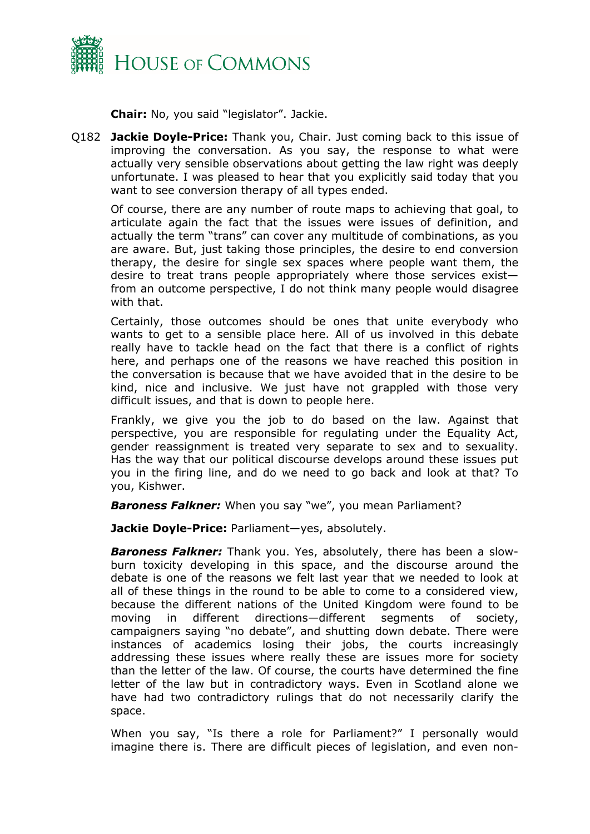

**Chair:** No, you said "legislator". Jackie.

Q182 **Jackie Doyle-Price:** Thank you, Chair. Just coming back to this issue of improving the conversation. As you say, the response to what were actually very sensible observations about getting the law right was deeply unfortunate. I was pleased to hear that you explicitly said today that you want to see conversion therapy of all types ended.

Of course, there are any number of route maps to achieving that goal, to articulate again the fact that the issues were issues of definition, and actually the term "trans" can cover any multitude of combinations, as you are aware. But, just taking those principles, the desire to end conversion therapy, the desire for single sex spaces where people want them, the desire to treat trans people appropriately where those services exist from an outcome perspective, I do not think many people would disagree with that.

Certainly, those outcomes should be ones that unite everybody who wants to get to a sensible place here. All of us involved in this debate really have to tackle head on the fact that there is a conflict of rights here, and perhaps one of the reasons we have reached this position in the conversation is because that we have avoided that in the desire to be kind, nice and inclusive. We just have not grappled with those very difficult issues, and that is down to people here.

Frankly, we give you the job to do based on the law. Against that perspective, you are responsible for regulating under the Equality Act, gender reassignment is treated very separate to sex and to sexuality. Has the way that our political discourse develops around these issues put you in the firing line, and do we need to go back and look at that? To you, Kishwer.

*Baroness Falkner:* When you say "we", you mean Parliament?

**Jackie Doyle-Price:** Parliament—yes, absolutely.

*Baroness Falkner:* Thank you. Yes, absolutely, there has been a slowburn toxicity developing in this space, and the discourse around the debate is one of the reasons we felt last year that we needed to look at all of these things in the round to be able to come to a considered view, because the different nations of the United Kingdom were found to be moving in different directions—different segments of society, campaigners saying "no debate", and shutting down debate. There were instances of academics losing their jobs, the courts increasingly addressing these issues where really these are issues more for society than the letter of the law. Of course, the courts have determined the fine letter of the law but in contradictory ways. Even in Scotland alone we have had two contradictory rulings that do not necessarily clarify the space.

When you say, "Is there a role for Parliament?" I personally would imagine there is. There are difficult pieces of legislation, and even non-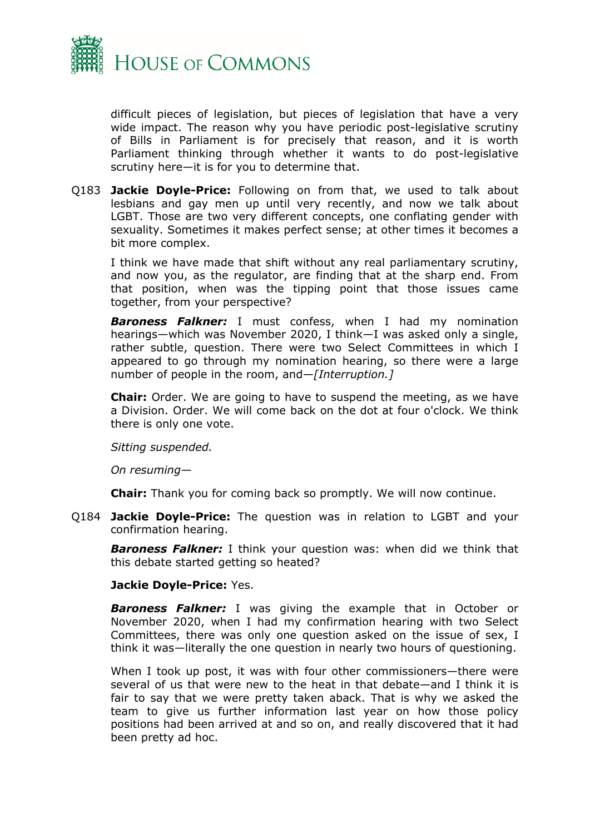

difficult pieces of legislation, but pieces of legislation that have a very wide impact. The reason why you have periodic post-legislative scrutiny of Bills in Parliament is for precisely that reason, and it is worth Parliament thinking through whether it wants to do post-legislative scrutiny here—it is for you to determine that.

Q183 **Jackie Doyle-Price:** Following on from that, we used to talk about lesbians and gay men up until very recently, and now we talk about LGBT. Those are two very different concepts, one conflating gender with sexuality. Sometimes it makes perfect sense; at other times it becomes a bit more complex.

I think we have made that shift without any real parliamentary scrutiny, and now you, as the regulator, are finding that at the sharp end. From that position, when was the tipping point that those issues came together, from your perspective?

*Baroness Falkner:* I must confess, when I had my nomination hearings—which was November 2020, I think—I was asked only a single, rather subtle, question. There were two Select Committees in which I appeared to go through my nomination hearing, so there were a large number of people in the room, and—*[Interruption.]*

**Chair:** Order. We are going to have to suspend the meeting, as we have a Division. Order. We will come back on the dot at four o'clock. We think there is only one vote.

*Sitting suspended.*

*On resuming—*

**Chair:** Thank you for coming back so promptly. We will now continue.

Q184 **Jackie Doyle-Price:** The question was in relation to LGBT and your confirmation hearing.

*Baroness Falkner:* I think your question was: when did we think that this debate started getting so heated?

## **Jackie Doyle-Price:** Yes.

*Baroness Falkner:* I was giving the example that in October or November 2020, when I had my confirmation hearing with two Select Committees, there was only one question asked on the issue of sex, I think it was—literally the one question in nearly two hours of questioning.

When I took up post, it was with four other commissioners—there were several of us that were new to the heat in that debate—and I think it is fair to say that we were pretty taken aback. That is why we asked the team to give us further information last year on how those policy positions had been arrived at and so on, and really discovered that it had been pretty ad hoc.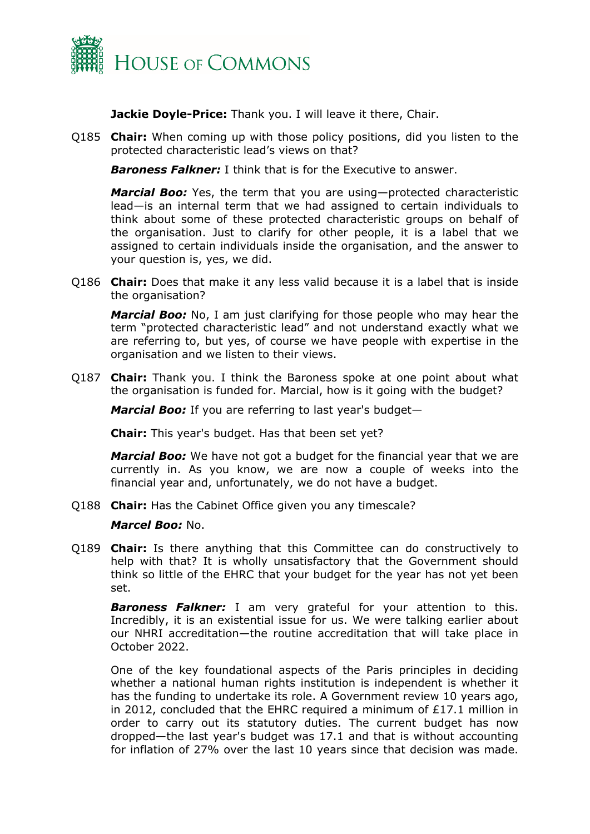

**Jackie Doyle-Price:** Thank you. I will leave it there, Chair.

Q185 **Chair:** When coming up with those policy positions, did you listen to the protected characteristic lead's views on that?

*Baroness Falkner:* I think that is for the Executive to answer.

*Marcial Boo:* Yes, the term that you are using—protected characteristic lead—is an internal term that we had assigned to certain individuals to think about some of these protected characteristic groups on behalf of the organisation. Just to clarify for other people, it is a label that we assigned to certain individuals inside the organisation, and the answer to your question is, yes, we did.

Q186 **Chair:** Does that make it any less valid because it is a label that is inside the organisation?

*Marcial Boo:* No, I am just clarifying for those people who may hear the term "protected characteristic lead" and not understand exactly what we are referring to, but yes, of course we have people with expertise in the organisation and we listen to their views.

Q187 **Chair:** Thank you. I think the Baroness spoke at one point about what the organisation is funded for. Marcial, how is it going with the budget?

*Marcial Boo:* If you are referring to last year's budget—

**Chair:** This year's budget. Has that been set yet?

*Marcial Boo:* We have not got a budget for the financial year that we are currently in. As you know, we are now a couple of weeks into the financial year and, unfortunately, we do not have a budget.

Q188 **Chair:** Has the Cabinet Office given you any timescale?

## *Marcel Boo:* No.

Q189 **Chair:** Is there anything that this Committee can do constructively to help with that? It is wholly unsatisfactory that the Government should think so little of the EHRC that your budget for the year has not yet been set.

*Baroness Falkner:* I am very grateful for your attention to this. Incredibly, it is an existential issue for us. We were talking earlier about our NHRI accreditation—the routine accreditation that will take place in October 2022.

One of the key foundational aspects of the Paris principles in deciding whether a national human rights institution is independent is whether it has the funding to undertake its role. A Government review 10 years ago, in 2012, concluded that the EHRC required a minimum of £17.1 million in order to carry out its statutory duties. The current budget has now dropped—the last year's budget was 17.1 and that is without accounting for inflation of 27% over the last 10 years since that decision was made.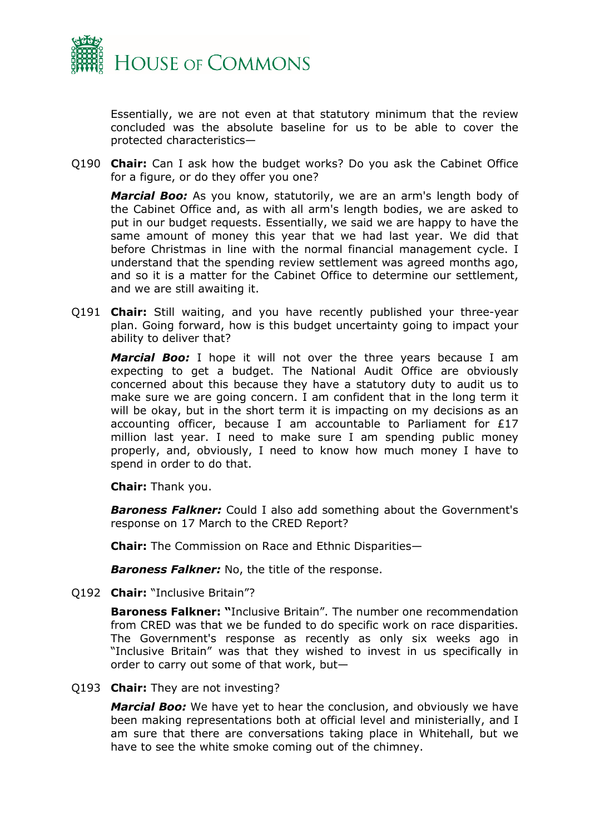

Essentially, we are not even at that statutory minimum that the review concluded was the absolute baseline for us to be able to cover the protected characteristics—

Q190 **Chair:** Can I ask how the budget works? Do you ask the Cabinet Office for a figure, or do they offer you one?

*Marcial Boo:* As you know, statutorily, we are an arm's length body of the Cabinet Office and, as with all arm's length bodies, we are asked to put in our budget requests. Essentially, we said we are happy to have the same amount of money this year that we had last year. We did that before Christmas in line with the normal financial management cycle. I understand that the spending review settlement was agreed months ago, and so it is a matter for the Cabinet Office to determine our settlement, and we are still awaiting it.

Q191 **Chair:** Still waiting, and you have recently published your three-year plan. Going forward, how is this budget uncertainty going to impact your ability to deliver that?

*Marcial Boo:* I hope it will not over the three years because I am expecting to get a budget. The National Audit Office are obviously concerned about this because they have a statutory duty to audit us to make sure we are going concern. I am confident that in the long term it will be okay, but in the short term it is impacting on my decisions as an accounting officer, because I am accountable to Parliament for £17 million last year. I need to make sure I am spending public money properly, and, obviously, I need to know how much money I have to spend in order to do that.

**Chair:** Thank you.

*Baroness Falkner:* Could I also add something about the Government's response on 17 March to the CRED Report?

**Chair:** The Commission on Race and Ethnic Disparities—

*Baroness Falkner:* No, the title of the response.

Q192 **Chair:** "Inclusive Britain"?

**Baroness Falkner: "**Inclusive Britain". The number one recommendation from CRED was that we be funded to do specific work on race disparities. The Government's response as recently as only six weeks ago in "Inclusive Britain" was that they wished to invest in us specifically in order to carry out some of that work, but—

Q193 **Chair:** They are not investing?

*Marcial Boo:* We have yet to hear the conclusion, and obviously we have been making representations both at official level and ministerially, and I am sure that there are conversations taking place in Whitehall, but we have to see the white smoke coming out of the chimney.